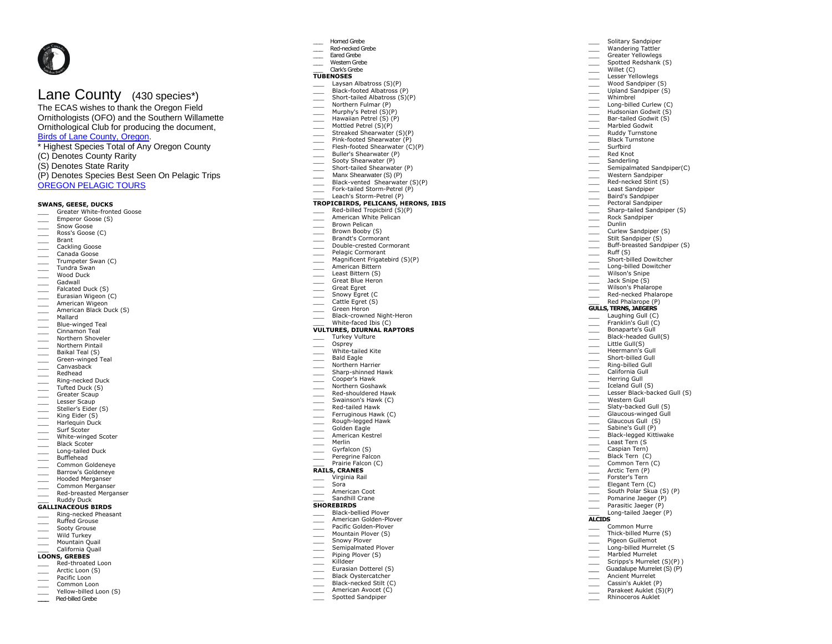# Lane County (430 species\*)

The ECAS wishes to thank the Oregon Field Ornithologists (OFO) and the Southern Willamette Ornithological Club for producing the document, [Birds of Lane County, Oregon.](https://www.amazon.com/Birds-Lane-County-Oregon-Contreras/dp/0870711806)

\* Highest Species Total of Any Oregon County (C) Denotes County Rarity (S) Denotes State Rarity (P) Denotes Species Best Seen On Pelagic Trips [OREGON PELAGIC TOURS](http://www.oregonpelagictours.com/) 

# **SWANS, GEESE, DUCKS**

- Greater White-fronted Goose
- Emperor Goose (S)
- Snow Goose
- Ross's Goose (C)
- \_\_\_ Brant
- \_\_\_ Cackling Goose
- \_\_\_ Canada Goose **Trumpeter Swan (C)**
- \_\_\_ Tundra Swan
- \_\_\_ Wood Duck
- \_\_\_ Gadwall
- \_\_\_ Falcated Duck (S)
- Eurasian Wigeon (C)
- \_\_\_ American Wigeon
- **Example 2.1** American Black Duck (S)
- \_\_\_ Mallard
- \_\_\_ Blue-winged Teal
- \_\_\_ Cinnamon Teal
- \_\_\_ Northern Shoveler
- \_\_\_ Northern Pintail
- \_\_\_ Baikal Teal (S)
- \_\_\_ Green-winged Teal
- \_\_\_ Canvasback
- \_\_\_ Redhead
- **Ning-necked Duck**
- Tufted Duck (S)
- \_\_\_ Greater Scaup
- Lesser Scaup
- Steller's Eider (S)
- \_\_\_ King Eider (S)
- \_\_\_ Harlequin Duck
- \_\_\_ Surf Scoter
- \_\_\_ White-winged Scoter
- Black Scoter
- Long-tailed Duck
- \_\_\_ Bufflehead
- \_\_\_ Common Goldeneye
- Barrow's Goldeneye
- \_\_\_ Hooded Merganser
- **Common Merganser**
- **Ned-breasted Merganser**

#### \_\_\_ Ruddy Duck **GALLINACEOUS BIRDS**

- \_\_\_ Ring-necked Pheasant
- Ruffed Grouse
- 
- \_\_\_ Sooty Grouse
- \_\_\_ Wild Turkey
- Mountain Quail California Quail

#### **LOONS, GREBES**

- Red-throated Loon
- Arctic Loon (S)
- Pacific Loon
- \_\_\_ Common Loon
- Yellow-billed Loon (S) **\_\_\_** Pied-billed Grebe
- 
- \_\_\_ Horned Grebe
- \_\_\_ Red-necked Grebe
- Eared Grebe
- Western Grebe \_\_\_ Clark's Grebe

# **TUBENOSES**

- Laysan Albatross (S)(P)
- Black-footed Albatross (P)

\_\_\_ Solitary Sandpiper Wandering Tattler Greater Yellowlegs Spotted Redshank (S)  $W$ illet  $(C)$ Lesser Yellowlegs Wood Sandpiper (S) Upland Sandpiper (S) \_\_\_ Whimbrel Long-billed Curlew (C) Hudsonian Godwit (S) Bar-tailed Godwit (S) Marbled Godwit \_\_\_ Ruddy Turnstone Black Turnstone Surfbird \_\_\_ Red Knot **Sanderling** Semipalmated Sandpiper(C) \_\_\_ Western Sandpiper Red-necked Stint (S) \_\_\_ Least Sandpiper \_\_\_ Baird's Sandpiper Pectoral Sandpiper

Sharp-tailed Sandpiper (S) Rock Sandpiper

**Curlew Sandpiper (S)** Stilt Sandpiper (S) Buff-breasted Sandpiper (S)

Short-billed Dowitcher Long-billed Dowitcher \_\_\_ Wilson's Snipe Jack Snipe (S) \_\_\_ Wilson's Phalarope Red-necked Phalarope Red Phalarope (P) **GULLS,TERNS, JAEGERS** .<br>Laughing Gull (C) Franklin's Gull (C) Bonaparte's Gull Black-headed Gull(S)

\_\_\_ Dunlin

 $\frac{1}{\sqrt{2}}$  Ruff (S)

 $\equiv$  Little Gull(S) \_\_\_ Heermann's Gull \_\_\_ Short-billed Gull \_\_\_ Ring-billed Gull California Gull Herring Gull Iceland Gull (S) Lesser Black-backed Gull (S)

\_\_\_ Western Gull \_\_\_ Slaty-backed Gull (S) Glaucous-winged Gull Glaucous Gull (S) Sabine's Gull (P) \_\_\_ Black-legged Kittiwake Least Tern (S) \_\_\_ Caspian Tern) Black Tern (C) Common Tern (C) Arctic Tern (P) Forster's Tern \_\_\_ Elegant Tern (C)

**ALCIDS**

\_\_\_ Common Murre Thick-billed Murre (S) Pigeon Guillemot Long-billed Murrelet (S Marbled Murrelet Scripps's Murrelet (S)(P)) Guadalupe Murrelet (S) (P) Ancient Murrelet Cassin's Auklet (P) Parakeet Auklet (S)(P) \_\_\_ Rhinoceros Auklet

South Polar Skua (S) (P) Pomarine Jaeger (P) \_\_\_ Parasitic Jaeger (P) Long-tailed Jaeger (P)

- $\equiv$  Short-tailed Albatross (S)(P)
- Northern Fulmar (P)
- \_\_\_ Murphy's Petrel (S)(P) \_\_\_ Hawaiian Petrel (S) (P)
- 
- \_\_\_ Mottled Petrel (S)(P)
- \_\_\_ Streaked Shearwater (S)(P) Pink-footed Shearwater (P)
- Flesh-footed Shearwater (C)(P)
- \_\_\_ Buller's Shearwater (P)
- Sooty Shearwater (P)
- Short-tailed Shearwater (P)
- \_\_\_ Manx Shearwater (S) (P)
- Black-vented Shearwater (S)(P)
- Fork-tailed Storm-Petrel (P)
- Leach's Storm-Petrel (P)

# **TROPICBIRDS, PELICANS, HERONS, IBIS**

- $Red$ -billed Tropicbird  $(S)(P)$
- American White Pelican
- \_\_\_ Brown Pelican
- Brown Booby (S)
- \_\_\_ Brandt's Cormorant
- \_\_\_ Double-crested Cormorant
- Pelagic Cormorant
- Magnificent Frigatebird (S)(P) American Bittern
- 
- \_\_\_ Least Bittern (S) Great Blue Heron
- \_\_\_ Great Egret
- 
- \_\_\_\_\_ Snowy Egret (C Cattle Egret (S)
- Green Heron
- \_\_\_ Black-crowned Night-Heron
- White-faced Ibis (C)

# **VULTURES, DIURNAL RAPTORS**

Turkey Vulture \_\_\_ White-tailed Kite

\_\_\_ Black-bellied Plover American Golden-Plover \_\_\_\_ Pacific Golden-Plover Mountain Plover (S) Snowy Plover \_\_\_ Semipalmated Plover Piping Plover (S) \_\_\_ Killdeer

Eurasian Dotterel (S) Black Ovstercatcher Black-necked Stilt (C) American Avocet (C) Spotted Sandpiper

\_\_\_ Osprey

\_\_\_ Merlin \_\_\_ Gyrfalcon (S) Peregrine Falcon Prairie Falcon (C) **RAILS, CRANES** .<br>Virginia Rail \_\_\_ Sora \_\_\_ American Coot Sandhill Crane **SHOREBIRDS**

Bald Eagle \_\_\_ Northern Harrier \_\_\_\_ Sharp-shinned Hawk \_\_\_ Cooper's Hawk \_\_\_ Northern Goshawk \_\_\_ Red-shouldered Hawk Swainson's Hawk (C) \_\_\_ Red-tailed Hawk Ferruginous Hawk (C) Rough-legged Hawk Golden Eagle \_\_\_ American Kestrel